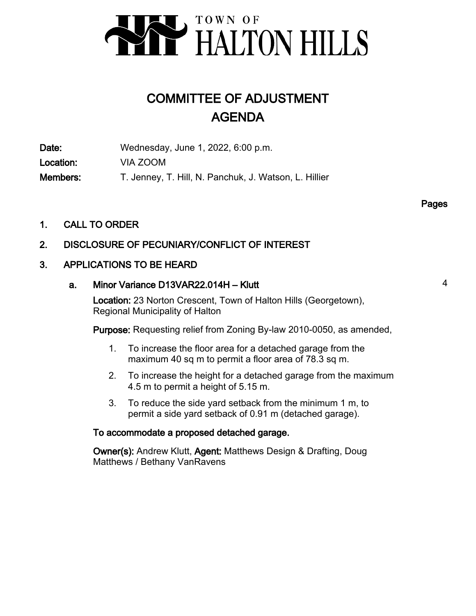

# COMMITTEE OF ADJUSTMENT AGENDA

Date: Wednesday, June 1, 2022, 6:00 p.m. Location: VIA ZOOM Members: T. Jenney, T. Hill, N. Panchuk, J. Watson, L. Hillier

Pages

1. CALL TO ORDER

# 2. DISCLOSURE OF PECUNIARY/CONFLICT OF INTEREST

# 3. APPLICATIONS TO BE HEARD

# a. Minor Variance D13VAR22.014H – Klutt 4

Location: 23 Norton Crescent, Town of Halton Hills (Georgetown), Regional Municipality of Halton

Purpose: Requesting relief from Zoning By-law 2010-0050, as amended,

- To increase the floor area for a detached garage from the maximum 40 sq m to permit a floor area of 78.3 sq m. 1.
- To increase the height for a detached garage from the maximum 4.5 m to permit a height of 5.15 m. 2.
- To reduce the side yard setback from the minimum 1 m, to permit a side yard setback of 0.91 m (detached garage). 3.

# To accommodate a proposed detached garage.

Owner(s): Andrew Klutt, Agent: Matthews Design & Drafting, Doug Matthews / Bethany VanRavens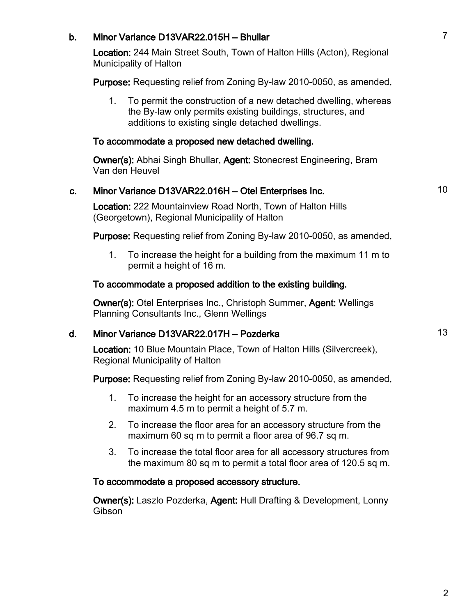# b. Minor Variance D13VAR22.015H – Bhullar 7

Location: 244 Main Street South, Town of Halton Hills (Acton), Regional Municipality of Halton

Purpose: Requesting relief from Zoning By-law 2010-0050, as amended,

To permit the construction of a new detached dwelling, whereas the By-law only permits existing buildings, structures, and additions to existing single detached dwellings. 1.

### To accommodate a proposed new detached dwelling.

Owner(s): Abhai Singh Bhullar, Agent: Stonecrest Engineering, Bram Van den Heuvel

# c. Minor Variance D13VAR22.016H – Otel Enterprises Inc. 10

Location: 222 Mountainview Road North, Town of Halton Hills (Georgetown), Regional Municipality of Halton

Purpose: Requesting relief from Zoning By-law 2010-0050, as amended,

To increase the height for a building from the maximum 11 m to permit a height of 16 m. 1.

### To accommodate a proposed addition to the existing building.

Owner(s): Otel Enterprises Inc., Christoph Summer, Agent: Wellings Planning Consultants Inc., Glenn Wellings

# d. Minor Variance D13VAR22.017H – Pozderka 13

Location: 10 Blue Mountain Place, Town of Halton Hills (Silvercreek), Regional Municipality of Halton

Purpose: Requesting relief from Zoning By-law 2010-0050, as amended,

- To increase the height for an accessory structure from the maximum 4.5 m to permit a height of 5.7 m. 1.
- To increase the floor area for an accessory structure from the maximum 60 sq m to permit a floor area of 96.7 sq m. 2.
- To increase the total floor area for all accessory structures from the maximum 80 sq m to permit a total floor area of 120.5 sq m. 3.

### To accommodate a proposed accessory structure.

Owner(s): Laszlo Pozderka, Agent: Hull Drafting & Development, Lonny **Gibson**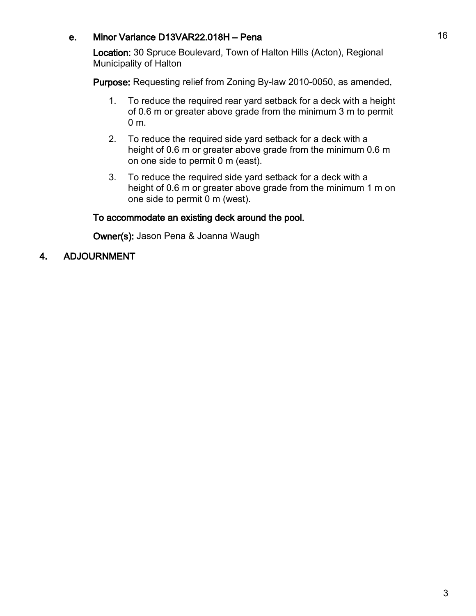# e. Minor Variance D13VAR22.018H – Pena 16

Location: 30 Spruce Boulevard, Town of Halton Hills (Acton), Regional Municipality of Halton

Purpose: Requesting relief from Zoning By-law 2010-0050, as amended,

- To reduce the required rear yard setback for a deck with a height of 0.6 m or greater above grade from the minimum 3 m to permit 0 m. 1.
- To reduce the required side yard setback for a deck with a height of 0.6 m or greater above grade from the minimum 0.6 m on one side to permit 0 m (east). 2.
- To reduce the required side yard setback for a deck with a height of 0.6 m or greater above grade from the minimum 1 m on one side to permit 0 m (west). 3.

# To accommodate an existing deck around the pool.

Owner(s): Jason Pena & Joanna Waugh

# 4. ADJOURNMENT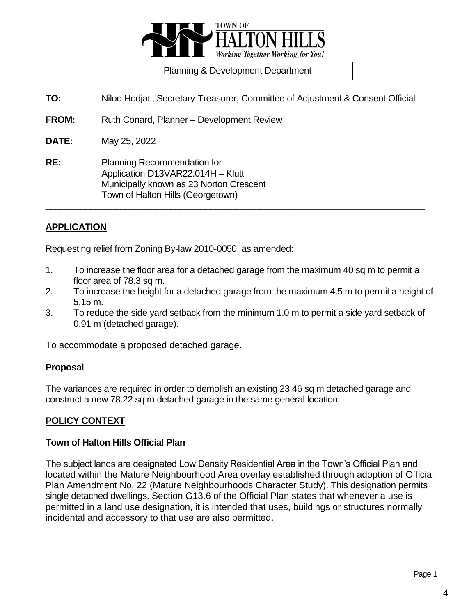

**TO:** Niloo Hodjati, Secretary-Treasurer, Committee of Adjustment & Consent Official

**FROM:** Ruth Conard, Planner – Development Review

**DATE:** May 25, 2022

**RE:** Planning Recommendation for Application D13VAR22.014H – Klutt Municipally known as 23 Norton Crescent Town of Halton Hills (Georgetown)

### **APPLICATION**

Requesting relief from Zoning By-law 2010-0050, as amended:

1. To increase the floor area for a detached garage from the maximum 40 sq m to permit a floor area of 78.3 sq m.

**\_\_\_\_\_\_\_\_\_\_\_\_\_\_\_\_\_\_\_\_\_\_\_\_\_\_\_\_\_\_\_\_\_\_\_\_\_\_\_\_\_\_\_\_\_\_\_\_\_\_\_\_\_\_\_\_\_\_\_\_\_\_\_\_\_\_\_\_\_\_\_\_\_\_\_\_**

- 2. To increase the height for a detached garage from the maximum 4.5 m to permit a height of 5.15 m.
- 3. To reduce the side yard setback from the minimum 1.0 m to permit a side yard setback of 0.91 m (detached garage).

To accommodate a proposed detached garage.

### **Proposal**

The variances are required in order to demolish an existing 23.46 sq m detached garage and construct a new 78.22 sq m detached garage in the same general location.

### **POLICY CONTEXT**

#### **Town of Halton Hills Official Plan**

The subject lands are designated Low Density Residential Area in the Town's Official Plan and located within the Mature Neighbourhood Area overlay established through adoption of Official Plan Amendment No. 22 (Mature Neighbourhoods Character Study). This designation permits single detached dwellings. Section G13.6 of the Official Plan states that whenever a use is permitted in a land use designation, it is intended that uses, buildings or structures normally incidental and accessory to that use are also permitted.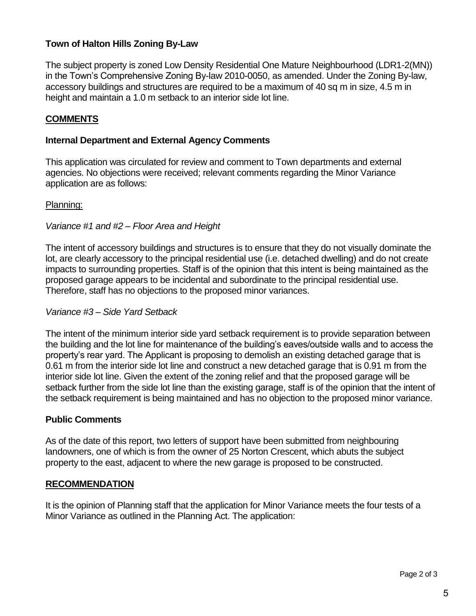The subject property is zoned Low Density Residential One Mature Neighbourhood (LDR1-2(MN)) in the Town's Comprehensive Zoning By-law 2010-0050, as amended. Under the Zoning By-law, accessory buildings and structures are required to be a maximum of 40 sq m in size, 4.5 m in height and maintain a 1.0 m setback to an interior side lot line.

# **COMMENTS**

# **Internal Department and External Agency Comments**

This application was circulated for review and comment to Town departments and external agencies. No objections were received; relevant comments regarding the Minor Variance application are as follows:

# Planning:

# *Variance #1 and #2 – Floor Area and Height*

The intent of accessory buildings and structures is to ensure that they do not visually dominate the lot, are clearly accessory to the principal residential use (i.e. detached dwelling) and do not create impacts to surrounding properties. Staff is of the opinion that this intent is being maintained as the proposed garage appears to be incidental and subordinate to the principal residential use. Therefore, staff has no objections to the proposed minor variances.

### *Variance #3 – Side Yard Setback*

The intent of the minimum interior side yard setback requirement is to provide separation between the building and the lot line for maintenance of the building's eaves/outside walls and to access the property's rear yard. The Applicant is proposing to demolish an existing detached garage that is 0.61 m from the interior side lot line and construct a new detached garage that is 0.91 m from the interior side lot line. Given the extent of the zoning relief and that the proposed garage will be setback further from the side lot line than the existing garage, staff is of the opinion that the intent of the setback requirement is being maintained and has no objection to the proposed minor variance.

### **Public Comments**

As of the date of this report, two letters of support have been submitted from neighbouring landowners, one of which is from the owner of 25 Norton Crescent, which abuts the subject property to the east, adjacent to where the new garage is proposed to be constructed.

### **RECOMMENDATION**

It is the opinion of Planning staff that the application for Minor Variance meets the four tests of a Minor Variance as outlined in the Planning Act. The application: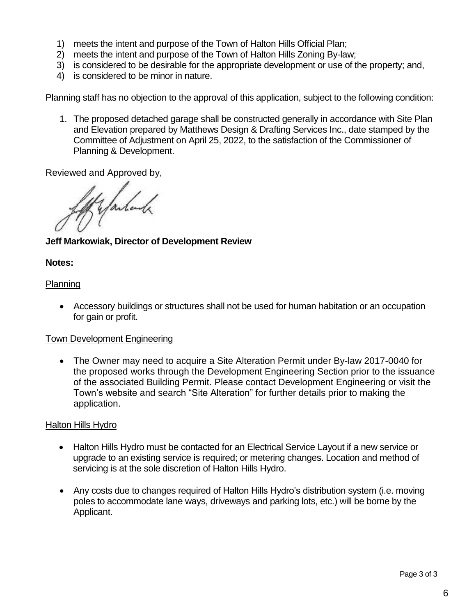- 1) meets the intent and purpose of the Town of Halton Hills Official Plan;
- 2) meets the intent and purpose of the Town of Halton Hills Zoning By-law;
- 3) is considered to be desirable for the appropriate development or use of the property; and,
- 4) is considered to be minor in nature.

Planning staff has no objection to the approval of this application, subject to the following condition:

1. The proposed detached garage shall be constructed generally in accordance with Site Plan and Elevation prepared by Matthews Design & Drafting Services Inc., date stamped by the Committee of Adjustment on April 25, 2022, to the satisfaction of the Commissioner of Planning & Development.

Reviewed and Approved by,

f yanland

**Jeff Markowiak, Director of Development Review**

### **Notes:**

# **Planning**

 Accessory buildings or structures shall not be used for human habitation or an occupation for gain or profit.

### Town Development Engineering

 The Owner may need to acquire a Site Alteration Permit under By-law 2017-0040 for the proposed works through the Development Engineering Section prior to the issuance of the associated Building Permit. Please contact Development Engineering or visit the Town's website and search "Site Alteration" for further details prior to making the application.

### Halton Hills Hydro

- Halton Hills Hydro must be contacted for an Electrical Service Layout if a new service or upgrade to an existing service is required; or metering changes. Location and method of servicing is at the sole discretion of Halton Hills Hydro.
- Any costs due to changes required of Halton Hills Hydro's distribution system (i.e. moving poles to accommodate lane ways, driveways and parking lots, etc.) will be borne by the Applicant.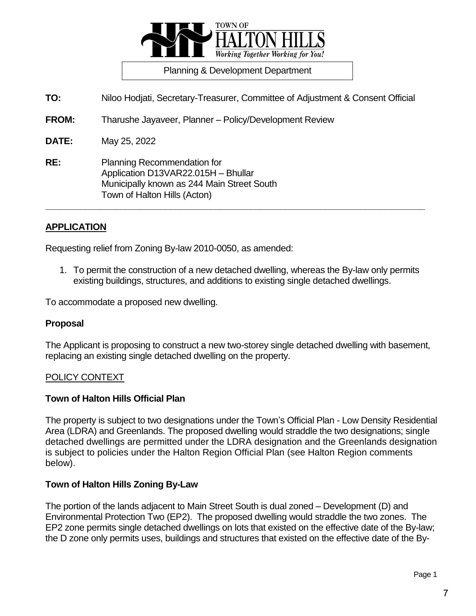

**TO:** Niloo Hodjati, Secretary-Treasurer, Committee of Adjustment & Consent Official

**FROM:** Tharushe Jayaveer, Planner – Policy/Development Review

**DATE:** May 25, 2022

**RE:** Planning Recommendation for Application D13VAR22.015H – Bhullar Municipally known as 244 Main Street South Town of Halton Hills (Acton)

### **APPLICATION**

Requesting relief from Zoning By-law 2010-0050, as amended:

1. To permit the construction of a new detached dwelling, whereas the By-law only permits existing buildings, structures, and additions to existing single detached dwellings.

**\_\_\_\_\_\_\_\_\_\_\_\_\_\_\_\_\_\_\_\_\_\_\_\_\_\_\_\_\_\_\_\_\_\_\_\_\_\_\_\_\_\_\_\_\_\_\_\_\_\_\_\_\_\_\_\_\_\_\_\_\_\_\_\_\_\_\_\_\_\_\_\_\_\_\_\_**

To accommodate a proposed new dwelling.

#### **Proposal**

The Applicant is proposing to construct a new two-storey single detached dwelling with basement, replacing an existing single detached dwelling on the property.

#### POLICY CONTEXT

#### **Town of Halton Hills Official Plan**

The property is subject to two designations under the Town's Official Plan - Low Density Residential Area (LDRA) and Greenlands. The proposed dwelling would straddle the two designations; single detached dwellings are permitted under the LDRA designation and the Greenlands designation is subject to policies under the Halton Region Official Plan (see Halton Region comments below).

#### **Town of Halton Hills Zoning By-Law**

The portion of the lands adjacent to Main Street South is dual zoned – Development (D) and Environmental Protection Two (EP2). The proposed dwelling would straddle the two zones. The EP2 zone permits single detached dwellings on lots that existed on the effective date of the By-law; the D zone only permits uses, buildings and structures that existed on the effective date of the By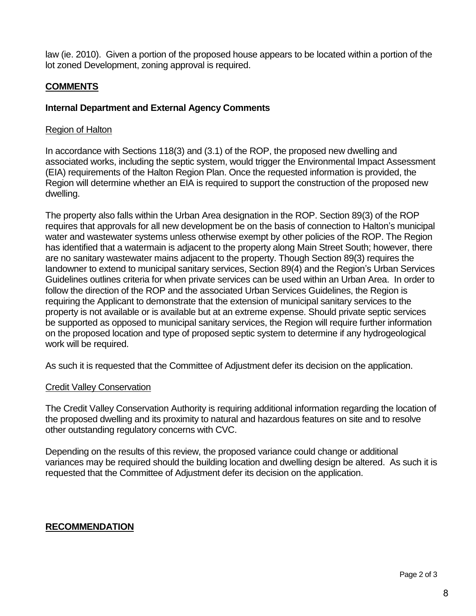law (ie. 2010). Given a portion of the proposed house appears to be located within a portion of the lot zoned Development, zoning approval is required.

# **COMMENTS**

# **Internal Department and External Agency Comments**

### Region of Halton

In accordance with Sections 118(3) and (3.1) of the ROP, the proposed new dwelling and associated works, including the septic system, would trigger the Environmental Impact Assessment (EIA) requirements of the Halton Region Plan. Once the requested information is provided, the Region will determine whether an EIA is required to support the construction of the proposed new dwelling.

The property also falls within the Urban Area designation in the ROP. Section 89(3) of the ROP requires that approvals for all new development be on the basis of connection to Halton's municipal water and wastewater systems unless otherwise exempt by other policies of the ROP. The Region has identified that a watermain is adjacent to the property along Main Street South; however, there are no sanitary wastewater mains adjacent to the property. Though Section 89(3) requires the landowner to extend to municipal sanitary services, Section 89(4) and the Region's Urban Services Guidelines outlines criteria for when private services can be used within an Urban Area. In order to follow the direction of the ROP and the associated Urban Services Guidelines, the Region is requiring the Applicant to demonstrate that the extension of municipal sanitary services to the property is not available or is available but at an extreme expense. Should private septic services be supported as opposed to municipal sanitary services, the Region will require further information on the proposed location and type of proposed septic system to determine if any hydrogeological work will be required.

As such it is requested that the Committee of Adjustment defer its decision on the application.

### Credit Valley Conservation

The Credit Valley Conservation Authority is requiring additional information regarding the location of the proposed dwelling and its proximity to natural and hazardous features on site and to resolve other outstanding regulatory concerns with CVC.

Depending on the results of this review, the proposed variance could change or additional variances may be required should the building location and dwelling design be altered. As such it is requested that the Committee of Adjustment defer its decision on the application.

# **RECOMMENDATION**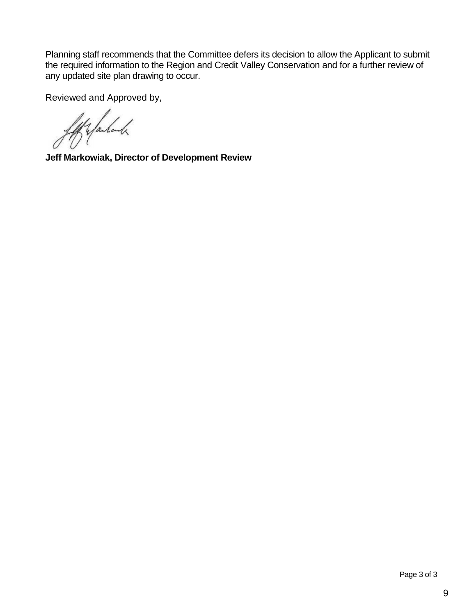Planning staff recommends that the Committee defers its decision to allow the Applicant to submit the required information to the Region and Credit Valley Conservation and for a further review of any updated site plan drawing to occur.

Reviewed and Approved by,

ff & failed

**Jeff Markowiak, Director of Development Review**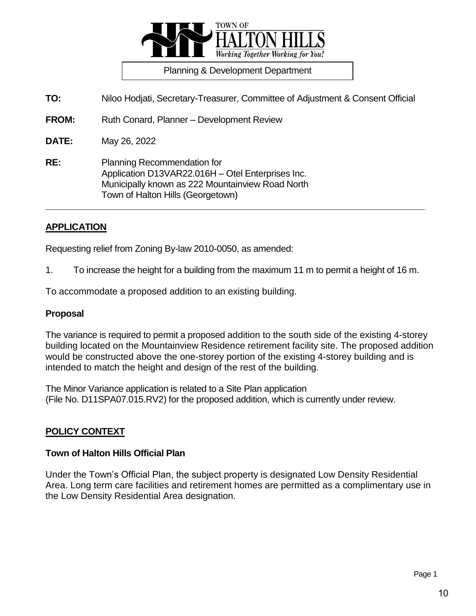

**TO:** Niloo Hodjati, Secretary-Treasurer, Committee of Adjustment & Consent Official

**FROM:** Ruth Conard, Planner – Development Review

**DATE:** May 26, 2022

**RE:** Planning Recommendation for Application D13VAR22.016H – Otel Enterprises Inc. Municipally known as 222 Mountainview Road North Town of Halton Hills (Georgetown)

#### **APPLICATION**

Requesting relief from Zoning By-law 2010-0050, as amended:

1. To increase the height for a building from the maximum 11 m to permit a height of 16 m.

**\_\_\_\_\_\_\_\_\_\_\_\_\_\_\_\_\_\_\_\_\_\_\_\_\_\_\_\_\_\_\_\_\_\_\_\_\_\_\_\_\_\_\_\_\_\_\_\_\_\_\_\_\_\_\_\_\_\_\_\_\_\_\_\_\_\_\_\_\_\_\_\_\_\_\_\_**

To accommodate a proposed addition to an existing building.

#### **Proposal**

The variance is required to permit a proposed addition to the south side of the existing 4-storey building located on the Mountainview Residence retirement facility site. The proposed addition would be constructed above the one-storey portion of the existing 4-storey building and is intended to match the height and design of the rest of the building.

The Minor Variance application is related to a Site Plan application (File No. D11SPA07.015.RV2) for the proposed addition, which is currently under review.

#### **POLICY CONTEXT**

#### **Town of Halton Hills Official Plan**

Under the Town's Official Plan, the subject property is designated Low Density Residential Area. Long term care facilities and retirement homes are permitted as a complimentary use in the Low Density Residential Area designation.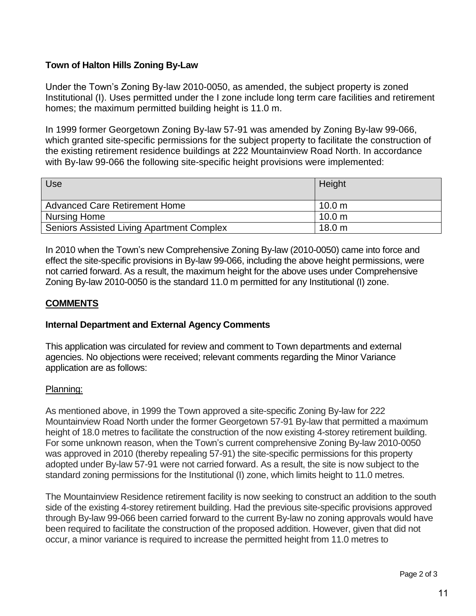Under the Town's Zoning By-law 2010-0050, as amended, the subject property is zoned Institutional (I). Uses permitted under the I zone include long term care facilities and retirement homes; the maximum permitted building height is 11.0 m.

In 1999 former Georgetown Zoning By-law 57-91 was amended by Zoning By-law 99-066, which granted site-specific permissions for the subject property to facilitate the construction of the existing retirement residence buildings at 222 Mountainview Road North. In accordance with By-law 99-066 the following site-specific height provisions were implemented:

| <b>Use</b>                                       | Height            |
|--------------------------------------------------|-------------------|
| <b>Advanced Care Retirement Home</b>             | 10.0 <sub>m</sub> |
| Nursing Home                                     | 10.0 m            |
| <b>Seniors Assisted Living Apartment Complex</b> | 18.0 <sub>m</sub> |

In 2010 when the Town's new Comprehensive Zoning By-law (2010-0050) came into force and effect the site-specific provisions in By-law 99-066, including the above height permissions, were not carried forward. As a result, the maximum height for the above uses under Comprehensive Zoning By-law 2010-0050 is the standard 11.0 m permitted for any Institutional (I) zone.

### **COMMENTS**

### **Internal Department and External Agency Comments**

This application was circulated for review and comment to Town departments and external agencies. No objections were received; relevant comments regarding the Minor Variance application are as follows:

### Planning:

As mentioned above, in 1999 the Town approved a site-specific Zoning By-law for 222 Mountainview Road North under the former Georgetown 57-91 By-law that permitted a maximum height of 18.0 metres to facilitate the construction of the now existing 4-storey retirement building. For some unknown reason, when the Town's current comprehensive Zoning By-law 2010-0050 was approved in 2010 (thereby repealing 57-91) the site-specific permissions for this property adopted under By-law 57-91 were not carried forward. As a result, the site is now subject to the standard zoning permissions for the Institutional (I) zone, which limits height to 11.0 metres.

The Mountainview Residence retirement facility is now seeking to construct an addition to the south side of the existing 4-storey retirement building. Had the previous site-specific provisions approved through By-law 99-066 been carried forward to the current By-law no zoning approvals would have been required to facilitate the construction of the proposed addition. However, given that did not occur, a minor variance is required to increase the permitted height from 11.0 metres to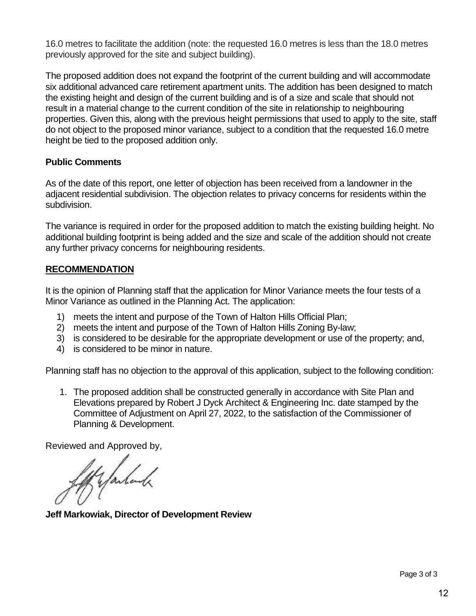16.0 metres to facilitate the addition (note: the requested 16.0 metres is less than the 18.0 metres previously approved for the site and subject building).

The proposed addition does not expand the footprint of the current building and will accommodate six additional advanced care retirement apartment units. The addition has been designed to match the existing height and design of the current building and is of a size and scale that should not result in a material change to the current condition of the site in relationship to neighbouring properties. Given this, along with the previous height permissions that used to apply to the site, staff do not object to the proposed minor variance, subject to a condition that the requested 16.0 metre height be tied to the proposed addition only.

# **Public Comments**

As of the date of this report, one letter of objection has been received from a landowner in the adjacent residential subdivision. The objection relates to privacy concerns for residents within the subdivision.

The variance is required in order for the proposed addition to match the existing building height. No additional building footprint is being added and the size and scale of the addition should not create any further privacy concerns for neighbouring residents.

# **RECOMMENDATION**

It is the opinion of Planning staff that the application for Minor Variance meets the four tests of a Minor Variance as outlined in the Planning Act. The application:

- 1) meets the intent and purpose of the Town of Halton Hills Official Plan;
- 2) meets the intent and purpose of the Town of Halton Hills Zoning By-law;
- 3) is considered to be desirable for the appropriate development or use of the property; and,
- 4) is considered to be minor in nature.

Planning staff has no objection to the approval of this application, subject to the following condition:

1. The proposed addition shall be constructed generally in accordance with Site Plan and Elevations prepared by Robert J Dyck Architect & Engineering Inc. date stamped by the Committee of Adjustment on April 27, 2022, to the satisfaction of the Commissioner of Planning & Development.

Reviewed and Approved by,

Hyalank

**Jeff Markowiak, Director of Development Review**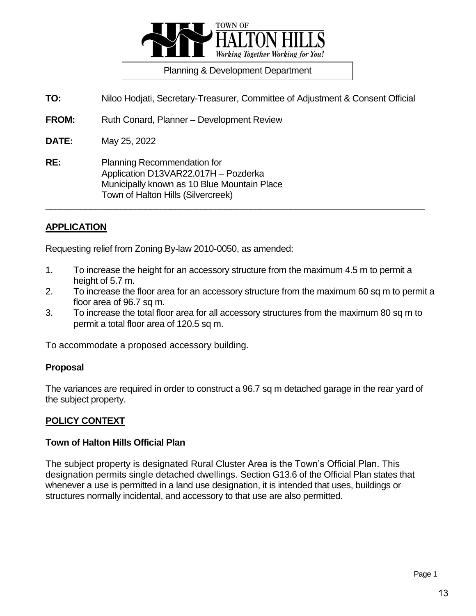

**TO:** Niloo Hodjati, Secretary-Treasurer, Committee of Adjustment & Consent Official

**FROM:** Ruth Conard, Planner – Development Review

**DATE:** May 25, 2022

**RE:** Planning Recommendation for Application D13VAR22.017H – Pozderka Municipally known as 10 Blue Mountain Place Town of Halton Hills (Silvercreek)

### **APPLICATION**

Requesting relief from Zoning By-law 2010-0050, as amended:

1. To increase the height for an accessory structure from the maximum 4.5 m to permit a height of 5.7 m.

**\_\_\_\_\_\_\_\_\_\_\_\_\_\_\_\_\_\_\_\_\_\_\_\_\_\_\_\_\_\_\_\_\_\_\_\_\_\_\_\_\_\_\_\_\_\_\_\_\_\_\_\_\_\_\_\_\_\_\_\_\_\_\_\_\_\_\_\_\_\_\_\_\_\_\_\_**

- 2. To increase the floor area for an accessory structure from the maximum 60 sq m to permit a floor area of 96.7 sq m.
- 3. To increase the total floor area for all accessory structures from the maximum 80 sq m to permit a total floor area of 120.5 sq m.

To accommodate a proposed accessory building.

#### **Proposal**

The variances are required in order to construct a 96.7 sq m detached garage in the rear yard of the subject property.

### **POLICY CONTEXT**

#### **Town of Halton Hills Official Plan**

The subject property is designated Rural Cluster Area is the Town's Official Plan. This designation permits single detached dwellings. Section G13.6 of the Official Plan states that whenever a use is permitted in a land use designation, it is intended that uses, buildings or structures normally incidental, and accessory to that use are also permitted.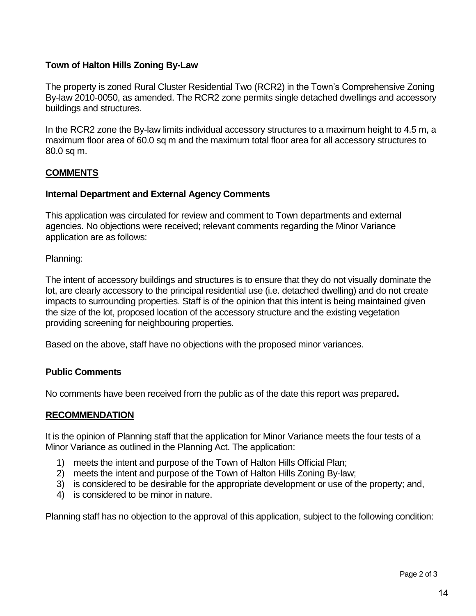The property is zoned Rural Cluster Residential Two (RCR2) in the Town's Comprehensive Zoning By-law 2010-0050, as amended. The RCR2 zone permits single detached dwellings and accessory buildings and structures.

In the RCR2 zone the By-law limits individual accessory structures to a maximum height to 4.5 m, a maximum floor area of 60.0 sq m and the maximum total floor area for all accessory structures to 80.0 sq m.

# **COMMENTS**

# **Internal Department and External Agency Comments**

This application was circulated for review and comment to Town departments and external agencies. No objections were received; relevant comments regarding the Minor Variance application are as follows:

# Planning:

The intent of accessory buildings and structures is to ensure that they do not visually dominate the lot, are clearly accessory to the principal residential use (i.e. detached dwelling) and do not create impacts to surrounding properties. Staff is of the opinion that this intent is being maintained given the size of the lot, proposed location of the accessory structure and the existing vegetation providing screening for neighbouring properties.

Based on the above, staff have no objections with the proposed minor variances.

# **Public Comments**

No comments have been received from the public as of the date this report was prepared**.** 

# **RECOMMENDATION**

It is the opinion of Planning staff that the application for Minor Variance meets the four tests of a Minor Variance as outlined in the Planning Act. The application:

- 1) meets the intent and purpose of the Town of Halton Hills Official Plan;
- 2) meets the intent and purpose of the Town of Halton Hills Zoning By-law;
- 3) is considered to be desirable for the appropriate development or use of the property; and,
- 4) is considered to be minor in nature.

Planning staff has no objection to the approval of this application, subject to the following condition: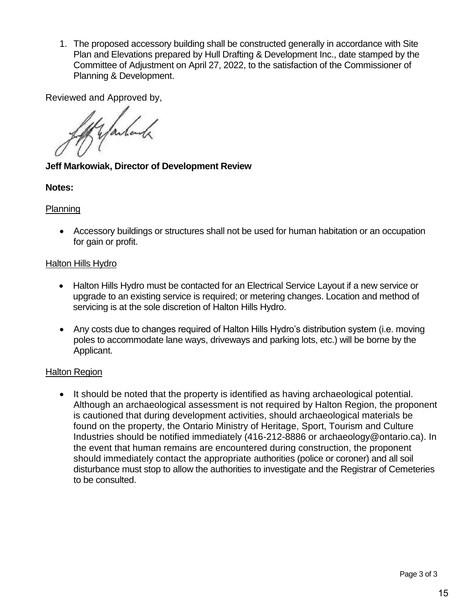1. The proposed accessory building shall be constructed generally in accordance with Site Plan and Elevations prepared by Hull Drafting & Development Inc., date stamped by the Committee of Adjustment on April 27, 2022, to the satisfaction of the Commissioner of Planning & Development.

Reviewed and Approved by,

Kyanhand

**Jeff Markowiak, Director of Development Review**

# **Notes:**

# **Planning**

 Accessory buildings or structures shall not be used for human habitation or an occupation for gain or profit.

# Halton Hills Hydro

- Halton Hills Hydro must be contacted for an Electrical Service Layout if a new service or upgrade to an existing service is required; or metering changes. Location and method of servicing is at the sole discretion of Halton Hills Hydro.
- Any costs due to changes required of Halton Hills Hydro's distribution system (i.e. moving poles to accommodate lane ways, driveways and parking lots, etc.) will be borne by the Applicant.

# **Halton Region**

 It should be noted that the property is identified as having archaeological potential. Although an archaeological assessment is not required by Halton Region, the proponent is cautioned that during development activities, should archaeological materials be found on the property, the Ontario Ministry of Heritage, Sport, Tourism and Culture Industries should be notified immediately (416-212-8886 or archaeology@ontario.ca). In the event that human remains are encountered during construction, the proponent should immediately contact the appropriate authorities (police or coroner) and all soil disturbance must stop to allow the authorities to investigate and the Registrar of Cemeteries to be consulted.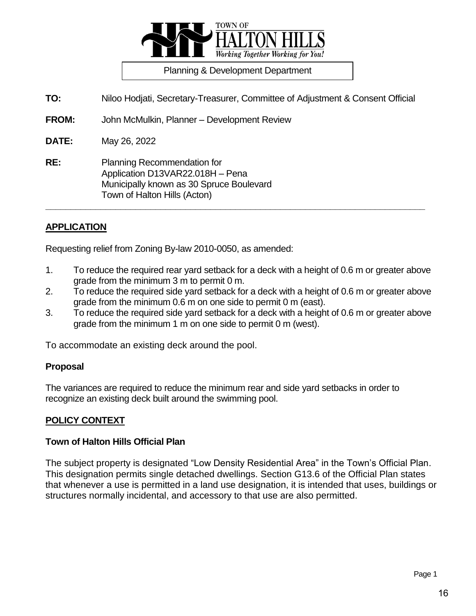

**TO:** Niloo Hodjati, Secretary-Treasurer, Committee of Adjustment & Consent Official

**FROM:** John McMulkin, Planner – Development Review

**DATE:** May 26, 2022

**RE:** Planning Recommendation for Application D13VAR22.018H – Pena Municipally known as 30 Spruce Boulevard Town of Halton Hills (Acton)

### **APPLICATION**

Requesting relief from Zoning By-law 2010-0050, as amended:

1. To reduce the required rear yard setback for a deck with a height of 0.6 m or greater above grade from the minimum 3 m to permit 0 m.

**\_\_\_\_\_\_\_\_\_\_\_\_\_\_\_\_\_\_\_\_\_\_\_\_\_\_\_\_\_\_\_\_\_\_\_\_\_\_\_\_\_\_\_\_\_\_\_\_\_\_\_\_\_\_\_\_\_\_\_\_\_\_\_\_\_\_\_\_\_\_\_\_\_\_\_\_**

- 2. To reduce the required side yard setback for a deck with a height of 0.6 m or greater above grade from the minimum 0.6 m on one side to permit 0 m (east).
- 3. To reduce the required side yard setback for a deck with a height of 0.6 m or greater above grade from the minimum 1 m on one side to permit 0 m (west).

To accommodate an existing deck around the pool.

### **Proposal**

The variances are required to reduce the minimum rear and side yard setbacks in order to recognize an existing deck built around the swimming pool.

# **POLICY CONTEXT**

### **Town of Halton Hills Official Plan**

The subject property is designated "Low Density Residential Area" in the Town's Official Plan. This designation permits single detached dwellings. Section G13.6 of the Official Plan states that whenever a use is permitted in a land use designation, it is intended that uses, buildings or structures normally incidental, and accessory to that use are also permitted.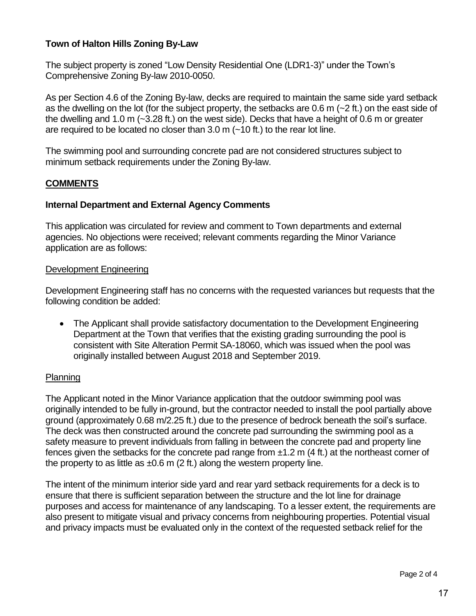The subject property is zoned "Low Density Residential One (LDR1-3)" under the Town's Comprehensive Zoning By-law 2010-0050.

As per Section 4.6 of the Zoning By-law, decks are required to maintain the same side yard setback as the dwelling on the lot (for the subject property, the setbacks are 0.6 m (~2 ft.) on the east side of the dwelling and 1.0 m (~3.28 ft.) on the west side). Decks that have a height of 0.6 m or greater are required to be located no closer than 3.0 m (~10 ft.) to the rear lot line.

The swimming pool and surrounding concrete pad are not considered structures subject to minimum setback requirements under the Zoning By-law.

# **COMMENTS**

### **Internal Department and External Agency Comments**

This application was circulated for review and comment to Town departments and external agencies. No objections were received; relevant comments regarding the Minor Variance application are as follows:

### Development Engineering

Development Engineering staff has no concerns with the requested variances but requests that the following condition be added:

 The Applicant shall provide satisfactory documentation to the Development Engineering Department at the Town that verifies that the existing grading surrounding the pool is consistent with Site Alteration Permit SA-18060, which was issued when the pool was originally installed between August 2018 and September 2019.

### Planning

The Applicant noted in the Minor Variance application that the outdoor swimming pool was originally intended to be fully in-ground, but the contractor needed to install the pool partially above ground (approximately 0.68 m/2.25 ft.) due to the presence of bedrock beneath the soil's surface. The deck was then constructed around the concrete pad surrounding the swimming pool as a safety measure to prevent individuals from falling in between the concrete pad and property line fences given the setbacks for the concrete pad range from  $\pm 1.2$  m (4 ft.) at the northeast corner of the property to as little as  $\pm 0.6$  m (2 ft.) along the western property line.

The intent of the minimum interior side yard and rear yard setback requirements for a deck is to ensure that there is sufficient separation between the structure and the lot line for drainage purposes and access for maintenance of any landscaping. To a lesser extent, the requirements are also present to mitigate visual and privacy concerns from neighbouring properties. Potential visual and privacy impacts must be evaluated only in the context of the requested setback relief for the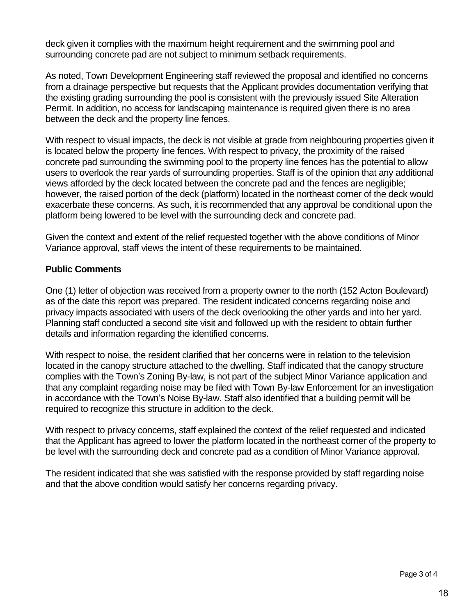deck given it complies with the maximum height requirement and the swimming pool and surrounding concrete pad are not subject to minimum setback requirements.

As noted, Town Development Engineering staff reviewed the proposal and identified no concerns from a drainage perspective but requests that the Applicant provides documentation verifying that the existing grading surrounding the pool is consistent with the previously issued Site Alteration Permit. In addition, no access for landscaping maintenance is required given there is no area between the deck and the property line fences.

With respect to visual impacts, the deck is not visible at grade from neighbouring properties given it is located below the property line fences. With respect to privacy, the proximity of the raised concrete pad surrounding the swimming pool to the property line fences has the potential to allow users to overlook the rear yards of surrounding properties. Staff is of the opinion that any additional views afforded by the deck located between the concrete pad and the fences are negligible; however, the raised portion of the deck (platform) located in the northeast corner of the deck would exacerbate these concerns. As such, it is recommended that any approval be conditional upon the platform being lowered to be level with the surrounding deck and concrete pad.

Given the context and extent of the relief requested together with the above conditions of Minor Variance approval, staff views the intent of these requirements to be maintained.

# **Public Comments**

One (1) letter of objection was received from a property owner to the north (152 Acton Boulevard) as of the date this report was prepared. The resident indicated concerns regarding noise and privacy impacts associated with users of the deck overlooking the other yards and into her yard. Planning staff conducted a second site visit and followed up with the resident to obtain further details and information regarding the identified concerns.

With respect to noise, the resident clarified that her concerns were in relation to the television located in the canopy structure attached to the dwelling. Staff indicated that the canopy structure complies with the Town's Zoning By-law, is not part of the subject Minor Variance application and that any complaint regarding noise may be filed with Town By-law Enforcement for an investigation in accordance with the Town's Noise By-law. Staff also identified that a building permit will be required to recognize this structure in addition to the deck.

With respect to privacy concerns, staff explained the context of the relief requested and indicated that the Applicant has agreed to lower the platform located in the northeast corner of the property to be level with the surrounding deck and concrete pad as a condition of Minor Variance approval.

The resident indicated that she was satisfied with the response provided by staff regarding noise and that the above condition would satisfy her concerns regarding privacy.